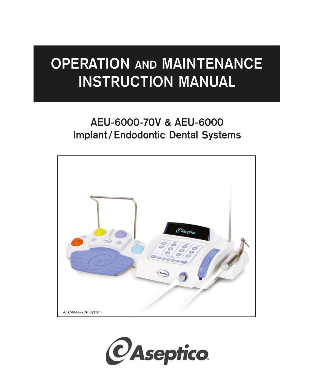# **OPERATION AND MAINTENANCE INSTRUCTION MANUAL**

## **AEU-6000-70V & AEU-6000 Implant / Endodontic Dental Systems**



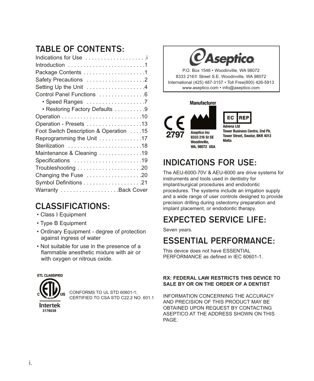## **TABLE OF CONTENTS:**

## **CLASSIFICATIONS:**

- Class I Equipment
- Type B Equipment
- Ordinary Equipment degree of protection against ingress of water
- Not suitable for use in the presence of a flammable anesthetic mixture with air or with oxygen or nitrous oxide.



CONFORMS TO UL STD 60601-1; CERTIFIED TO CSA STD C22.2 NO. 601.1



P.O. Box 1548 • Woodinville, WA 98072 8333 216<sup>th</sup> Street S.E. Woodinville, WA 98072 International (425) 487-3157 • Toll Free(800) 426-5913 www.aseptico.com • info@aseptico.com

#### **Manufacturer**





**Tower Business Centre, 2nd Flr.** Tower Street, Swatar, BKR 4013 Malta

## **INDICATIONS FOR USE:**

The AEU-6000-70V & AEU-6000 are drive systems for instruments and tools used in dentistry for implant/surgical procedures and endodontic procedures. The systems include an irrigation supply and a wide range of user controls designed to provide precision drilling during osteotomy preparation and implant placement, or endodontic therapy.

## **EXPECTED SERVICE LIFE:**

Seven years.

## **ESSENTIAL PERFORMANCE:**

This device does not have ESSENTIAL PERFORMANCE as defined in IEC 60601-1.

#### **RX: FEDERAL LAW RESTRICTS THIS DEVICE TO SALE BY OR ON THE ORDER OF A DENTIST**

INFORMATION CONCERNING THE ACCURACY AND PRECISION OF THIS PRODUCT MAY BE OBTAINED UPON REQUEST BY CONTACTING ASEPTICO AT THE ADDRESS SHOWN ON THIS PAGE.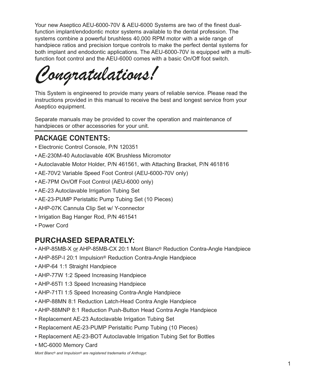Your new Aseptico AEU-6000-70V & AEU-6000 Systems are two of the finest dualfunction implant/endodontic motor systems available to the dental profession. The systems combine a powerful brushless 40,000 RPM motor with a wide range of handpiece ratios and precision torque controls to make the perfect dental systems for both implant and endodontic applications. The AEU-6000-70V is equipped with a multifunction foot control and the AEU-6000 comes with a basic On/Off foot switch.

*Congratulations!*

This System is engineered to provide many years of reliable service. Please read the instructions provided in this manual to receive the best and longest service from your Aseptico equipment.

Separate manuals may be provided to cover the operation and maintenance of handpieces or other accessories for your unit.

## **PACKAGE CONTENTS:**

- Electronic Control Console, P/N 120351
- AE-230M-40 Autoclavable 40K Brushless Micromotor
- Autoclavable Motor Holder, P/N 461561, with Attaching Bracket, P/N 461816
- AE-70V2 Variable Speed Foot Control (AEU-6000-70V only)
- AE-7PM On/Off Foot Control (AEU-6000 only)
- AE-23 Autoclavable Irrigation Tubing Set
- AE-23-PUMP Peristaltic Pump Tubing Set (10 Pieces)
- AHP-07K Cannula Clip Set w/ Y-connector
- Irrigation Bag Hanger Rod, P/N 461541
- Power Cord

## **PURCHASED SEPARATELY:**

- AHP-85MB-X or AHP-85MB-CX 20:1 Mont Blanc® Reduction Contra-Angle Handpiece
- AHP-85P-I 20:1 Impulsion® Reduction Contra-Angle Handpiece
- AHP-64 1:1 Straight Handpiece
- AHP-77W 1:2 Speed Increasing Handpiece
- AHP-65TI 1:3 Speed Increasing Handpiece
- AHP-71TI 1:5 Speed Increasing Contra-Angle Handpiece
- AHP-88MN 8:1 Reduction Latch-Head Contra Angle Handpiece
- AHP-88MNP 8:1 Reduction Push-Button Head Contra Angle Handpiece
- Replacement AE-23 Autoclavable Irrigation Tubing Set
- Replacement AE-23-PUMP Peristaltic Pump Tubing (10 Pieces)
- Replacement AE-23-BOT Autoclavable Irrigation Tubing Set for Bottles
- MC-6000 Memory Card

*Mont Blanc® and Impulsion® are registered trademarks of Anthogyr.*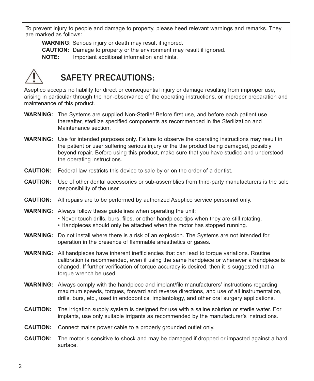To prevent injury to people and damage to property, please heed relevant warnings and remarks. They are marked as follows:

**WARNING:** Serious injury or death may result if ignored. **CAUTION:** Damage to property or the environment may result if ignored. **NOTE:** Important additional information and hints.



## **SAFETY PRECAUTIONS:**

Aseptico accepts no liability for direct or consequential injury or damage resulting from improper use, arising in particular through the non-observance of the operating instructions, or improper preparation and maintenance of this product.

- **WARNING:** The Systems are supplied Non-Sterile! Before first use, and before each patient use thereafter, sterilize specified components as recommended in the Sterilization and Maintenance section.
- **WARNING:** Use for intended purposes only. Failure to observe the operating instructions may result in the patient or user suffering serious injury or the the product being damaged, possibly beyond repair. Before using this product, make sure that you have studied and understood the operating instructions.
- **CAUTION:** Federal law restricts this device to sale by or on the order of a dentist.
- **CAUTION:** Use of other dental accessories or sub-assemblies from third-party manufacturers is the sole responsibility of the user.
- **CAUTION:** All repairs are to be performed by authorized Aseptico service personnel only.
- **WARNING:** Always follow these guidelines when operating the unit: • Never touch drills, burs, files, or other handpiece tips when they are still rotating. • Handpieces should only be attached when the motor has stopped running.
- **WARNING:** Do not install where there is a risk of an explosion. The Systems are not intended for operation in the presence of flammable anesthetics or gases.
- **WARNING:** All handpieces have inherent inefficiencies that can lead to torque variations. Routine calibration is recommended, even if using the same handpiece or whenever a handpiece is changed. If further verification of torque accuracy is desired, then it is suggested that a torque wrench be used.
- **WARNING:** Always comply with the handpiece and implant/file manufacturers' instructions regarding maximum speeds, torques, forward and reverse directions, and use of all instrumentation, drills, burs, etc., used in endodontics, implantology, and other oral surgery applications.
- **CAUTION:** The irrigation supply system is designed for use with a saline solution or sterile water. For implants, use only suitable irrigants as recommended by the manufacturer's instructions.
- **CAUTION:** Connect mains power cable to a properly grounded outlet only.
- **CAUTION:** The motor is sensitive to shock and may be damaged if dropped or impacted against a hard surface.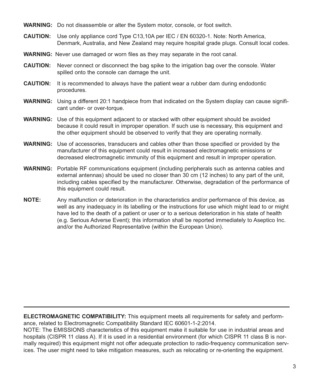**WARNING:** Do not disassemble or alter the System motor, console, or foot switch.

- **CAUTION:** Use only appliance cord Type C13,10A per IEC / EN 60320-1. Note: North America, Denmark, Australia, and New Zealand may require hospital grade plugs. Consult local codes.
- **WARNING:** Never use damaged or worn files as they may separate in the root canal.
- **CAUTION:** Never connect or disconnect the bag spike to the irrigation bag over the console. Water spilled onto the console can damage the unit.
- **CAUTION:** It is recommended to always have the patient wear a rubber dam during endodontic procedures.
- **WARNING:** Using a different 20:1 handpiece from that indicated on the System display can cause significant under- or over-torque.
- **WARNING:** Use of this equipment adjacent to or stacked with other equipment should be avoided because it could result in improper operation. If such use is necessary, this equipment and the other equipment should be observed to verify that they are operating normally.
- **WARNING:** Use of accessories, transducers and cables other than those specified or provided by the manufacturer of this equipment could result in increased electromagnetic emissions or decreased electromagnetic immunity of this equipment and result in improper operation.
- **WARNING:** Portable RF communications equipment (including peripherals such as antenna cables and external antennas) should be used no closer than 30 cm (12 inches) to any part of the unit, including cables specified by the manufacturer. Otherwise, degradation of the performance of this equipment could result.
- **NOTE:** Any malfunction or deterioration in the characteristics and/or performance of this device, as well as any inadequacy in its labelling or the instructions for use which might lead to or might have led to the death of a patient or user or to a serious deterioration in his state of health (e.g. Serious Adverse Event); this information shall be reported immediately to Aseptico Inc. and/or the Authorized Representative (within the European Union).

**ELECTROMAGNETIC COMPATIBILITY:** This equipment meets all requirements for safety and performance, related to Electromagnetic Compatibility Standard IEC 60601-1-2:2014.

NOTE: The EMISSIONS characteristics of this equipment make it suitable for use in industrial areas and hospitals (CISPR 11 class A). If it is used in a residential environment (for which CISPR 11 class B is normally required) this equipment might not offer adequate protection to radio-frequency communication services. The user might need to take mitigation measures, such as relocating or re-orienting the equipment.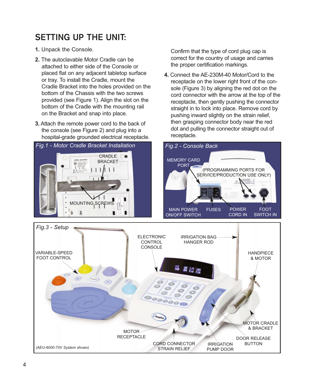## **SETTING UP THE UNIT:**

- **1.** Unpack the Console.
- **2.** The autoclavable Motor Cradle can be attached to either side of the Console or placed flat on any adjacent tabletop surface or tray. To install the Cradle, mount the Cradle Bracket into the holes provided on the bottom of the Chassis with the two screws provided (see Figure 1). Align the slot on the bottom of the Cradle with the mounting rail on the Bracket and snap into place.
- **3.** Attach the remote power cord to the back of the console (see Figure 2) and plug into a hospital-grade grounded electrical receptacle.

*Fig.1 - Motor Cradle Bracket Installation* CRADLE **C** BRACKET  $\perp$ **MOUNTING SCREWS** ô **A** 

Confirm that the type of cord plug cap is correct for the country of usage and carries the proper certification markings.

**4.** Connect the AE-230M-40 Motor/Cord to the receptacle on the lower right front of the console (Figure 3) by aligning the red dot on the cord connector with the arrow at the top of the receptacle, then gently pushing the connector straight in to lock into place. Remove cord by pushing inward slightly on the strain relief, then grasping connector body near the red dot and pulling the connector straight out of receptacle.



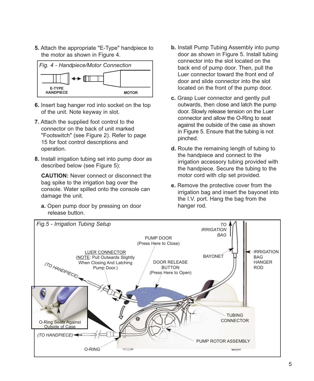**5.** Attach the appropriate "E-Type" handpiece to the motor as shown in Figure 4.



- **6.** Insert bag hanger rod into socket on the top of the unit. Note keyway in slot.
- **7.** Attach the supplied foot control to the connector on the back of unit marked "Footswitch" (see Figure 2). Refer to page 15 for foot control descriptions and operation.
- **8.** Install irrigation tubing set into pump door as described below (see Figure 5):

**CAUTION:** Never connect or disconnect the bag spike to the irrigation bag over the console. Water spilled onto the console can damage the unit.

**a.** Open pump door by pressing on door release button.

- **b.** Install Pump Tubing Assembly into pump door as shown in Figure 5. Install tubing connector into the slot located on the back end of pump door. Then, pull the Luer connector toward the front end of door and slide connector into the slot located on the front of the pump door.
- **c.** Grasp Luer connector and gently pull outwards, then close and latch the pump door. Slowly release tension on the Luer connector and allow the O-Ring to seat against the outside of the case as shown in Figure 5. Ensure that the tubing is not pinched.
- **d.** Route the remaining length of tubing to the handpiece and connect to the irrigation accessory tubing provided with the handpiece. Secure the tubing to the motor cord with clip set provided.
- **e.** Remove the protective cover from the irrigation bag and insert the bayonet into the I.V. port. Hang the bag from the hanger rod.

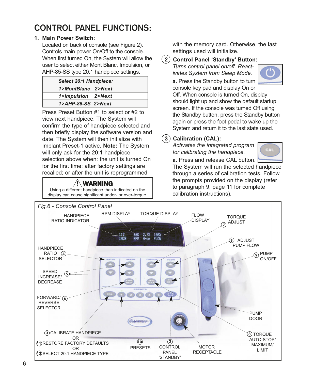## **CONTROL PANEL FUNCTIONS:**

### **1. Main Power Switch:**

Located on back of console (see Figure 2). Controls main power On/Off to the console. When first turned On, the System will allow the user to select either Mont Blanc, Impulsion, or AHP-85-SS type 20:1 handpiece settings:

| Select 20:1 Handpiece: |  |
|------------------------|--|
| 1>MontBlanc 2>Next     |  |
| 1>Impulsion 2>Next     |  |
| $1$ >AHP-85-SS 2>Next  |  |

Press Preset Button #1 to select or #2 to view next handpiece. The System will confirm the type of handpiece selected and then briefly display the software version and date. The System will then initialize with Implant Preset-1 active. **Note:** The System will only ask for the 20:1 handpiece selection above when: the unit is turned On for the first time; after factory settings are recalled; or after the unit is reprogrammed

WARNING Using a different handpiece than indicated on the with the memory card. Otherwise, the last settings used will initialize.

**2 Control Panel 'Standby' Button:**

*Turns control panel on/off. Reactivates System from Sleep Mode.* **a.** Press the Standby button to turn



console key pad and display On or Off. When console is turned On, display should light up and show the default startup screen. If the console was turned Off using the Standby button, press the Standby button again or press the foot pedal to wake up the System and return it to the last state used.

### **3 Calibration (CAL):**

*Activates the integrated program for calibrating the handpiece.*



**a.** Press and release CAL button. The System will run the selected handpiece through a series of calibration tests. Follow the prompts provided on the display (refer to paragraph 9, page 11 for complete calibration instructions).

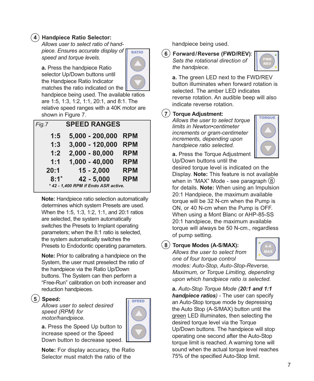### **4 Handpiece Ratio Selector:**

*Allows user to select ratio of handpiece. Ensures accurate display of speed and torque levels.*



**a.** Press the handpiece Ratio selector Up/Down buttons until the Handpiece Ratio Indicator matches the ratio indicated on the

handpiece being used. The available ratios are 1:5, 1:3, 1:2, 1:1, 20:1, and 8:1. The relative speed ranges with a 40K motor are shown in Figure 7.

| <b>SPEED RANGES</b><br>Fig.7         |                   |            |  |  |
|--------------------------------------|-------------------|------------|--|--|
| 1:5                                  | $5,000 - 200,000$ | <b>RPM</b> |  |  |
| 1:3                                  | 3,000 - 120,000   | <b>RPM</b> |  |  |
| 1:2                                  | $2,000 - 80,000$  | <b>RPM</b> |  |  |
| 1:1                                  | $1,000 - 40,000$  | <b>RPM</b> |  |  |
| 20:1                                 | $15 - 2,000$      | <b>RPM</b> |  |  |
| $8:1*$                               | $42 - 5,000$      | <b>RPM</b> |  |  |
| * 42 - 1.400 RPM if Endo ASR active. |                   |            |  |  |

**Note:** Handpiece ratio selection automatically determines which system Presets are used. When the 1:5, 1:3, 1:2, 1:1, and 20:1 ratios are selected, the system automatically switches the Presets to Implant operating parameters; when the 8:1 ratio is selected, the system automatically switches the Presets to Endodontic operating parameters.

**Note:** Prior to calibrating a handpiece on the System, the user must preselect the ratio of the handpiece via the Ratio Up/Down buttons. The System can then perform a "Free-Run" calibration on both increaser and reduction handpieces.

#### **5 Speed:**

*Allows user to select desired speed (RPM) for motor/handpiece.*



**a.** Press the Speed Up button to increase speed or the Speed Down button to decrease speed.

**Note:** For display accuracy, the Ratio Selector must match the ratio of the

handpiece being used.

#### **6 Forward/Reverse (FWD/REV)**: *Sets the rotational direction of the handpiece.*



**a.** The green LED next to the FWD/REV button illuminates when forward rotation is selected. The amber LED indicates reverse rotation. An audible beep will also indicate reverse rotation.

#### **7 Torque Adjustment:**

*Allows the user to select torque limits in Newton•centimeter increments or gram-centimeter increments, depending upon handpiece ratio selected.*



**a.** Press the Torque Adjustment Up/Down buttons until the

desired torque level is indicated on the Display. **Note:** This feature is not available when in "MAX" Mode - see paragraph  $(8)$ for details. **Note:** When using an Impulsion 20:1 Handpiece, the maximum available torque will be 32 N-cm when the Pump is ON, or 40 N-cm when the Pump is OFF. When using a Mont Blanc or AHP-85-SS 20:1 handpiece, the maximum available torque will always be 50 N-cm., regardless of pump setting.

**8 Torque Modes (A-S**/**MAX):** *Allows the user to select from*

*one of four torque control modes: Auto-Stop, Auto-Stop-Reverse, Maximum, or Torque Limiting, depending upon which handpiece ratio is selected.*

**a.** *Auto-Stop Torque Mode (20:1 and 1:1 handpiece ratios)* - The user can specify an Auto-Stop torque mode by depressing the Auto Stop (A-S/MAX) button until the green LED illuminates, then selecting the desired torque level via the Torque Up/Down buttons. The handpiece will stop operating one second after the Auto-Stop torque limit is reached. A warning tone will sound when the actual torque level reaches 75% of the specified Auto-Stop limit.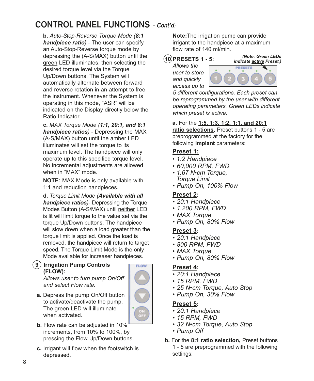## **CONTROL PANEL FUNCTIONS - Cont'd:**

**b.** *Auto-Stop-Reverse Torque Mode (8:1 handpiece ratio)* - The user can specify an Auto-Stop-Reverse torque mode by depressing the (A-S/MAX) button until the green LED illuminates, then selecting the desired torque level via the Torque Up/Down buttons. The System will automatically alternate between forward and reverse rotation in an attempt to free the instrument. Whenever the System is operating in this mode, "ASR" will be indicated on the Display directly below the Ratio Indicator.

**c.** *MAX Torque Mode (1:1, 20:1, and 8:1 handpiece ratios)* - Depressing the MAX (A-S/MAX) button until the amber LED illuminates will set the torque to its maximum level. The handpiece will only operate up to this specified torque level. No incremental adjustments are allowed when in "MAX" mode.

**NOTE:** MAX Mode is only available with 1:1 and reduction handpieces.

**d.** *Torque Limit Mode (Available with all handpiece ratios)*- Depressing the Torque Modes Button (A-S/MAX) until neither LED is lit will limit torque to the value set via the torque Up/Down buttons. The handpiece will slow down when a load greater than the torque limit is applied. Once the load is removed, the handpiece will return to target speed. The Torque Limit Mode is the only Mode available for increaser handpieces.

### **9 Irrigation Pump Controls (FLOW):**

*Allows user to turn pump On/Off and select Flow rate.*

**a.** Depress the pump On/Off button to activate/deactivate the pump. The green LED will illuminate when activated.



- **b.** Flow rate can be adjusted in 10% increments, from 10% to 100%, by pressing the Flow Up/Down buttons.
- **c.** Irrigant will flow when the footswitch is depressed.

**Note:**The irrigation pump can provide irrigant to the handpiece at a maximum flow rate of 140 ml/min.

**10 PRESETS 1 - 5:**

*(Note: Green LEDs indicate active Preset.)*

*Allows the user to store and quickly access up to*



*5 different configurations. Each preset can be reprogrammed by the user with different operating parameters. Green LEDs indicate which preset is active.*

**a.** For the **1:5, 1:3, 1:2, 1:1, and 20:1 ratio selections,** Preset buttons 1 - 5 are preprogrammed at the factory for the following **Implant** parameters:

### **Preset 1:**

- *1:2 Handpiece*
- *60,000 RPM, FWD*
- *1.67 N•cm Torque, Torque Limit*
- *Pump On, 100% Flow*

### **Preset 2:**

- *20:1 Handpiece*
- *1,200 RPM, FWD*
- *MAX Torque*
- *Pump On, 80% Flow*

### **Preset 3:**

- *20:1 Handpiece*
- *800 RPM, FWD*
- *MAX Torque*
- *Pump On, 80% Flow*

### **Preset 4:**

- *20:1 Handpiece*
- *15 RPM, FWD*
- *25 N•cm Torque, Auto Stop*
- *Pump On, 30% Flow*

### **Preset 5:**

- *20:1 Handpiece*
- *15 RPM, FWD*
- *32 N•cm Torque, Auto Stop*
- *Pump Off*
- **b.** For the **8:1 ratio selection,** Preset buttons 1 - 5 are preprogrammed with the following settings: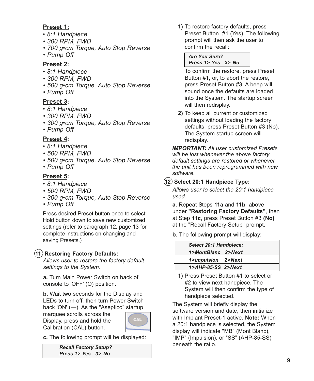### **Preset 1:**

- *8:1 Handpiece*
- *300 RPM, FWD*
- *700 g•cm Torque, Auto Stop Reverse*
- *Pump Off*

### **Preset 2:**

- *8:1 Handpiece*
- *300 RPM, FWD*
- *500 g•cm Torque, Auto Stop Reverse*
- *Pump Off*

### **Preset 3:**

- *8:1 Handpiece*
- *300 RPM, FWD*
- *300 g•cm Torque, Auto Stop Reverse*
- *Pump Off*

### **Preset 4:**

- *8:1 Handpiece*
- *500 RPM, FWD*
- *500 g•cm Torque, Auto Stop Reverse*
- *Pump Off*

### **Preset 5:**

- *8:1 Handpiece*
- *500 RPM, FWD*
- *300 g•cm Torque, Auto Stop Reverse*
- *Pump Off*

Press desired Preset button once to select; Hold button down to save new customized settings (refer to paragraph 12, page 13 for complete instructions on changing and saving Presets.)

### **11 Restoring Factory Defaults:**

*Allows user to restore the factory default settings to the System.*

**a.** Turn Main Power Switch on back of console to 'OFF' (O) position.

**b.** Wait two seconds for the Display and LEDs to turn off, then turn Power Switch back 'ON' (—). As the "Aseptico" startup

marquee scrolls across the Display, press and hold the Calibration (CAL) button.



**c.** The following prompt will be displayed:

*Recall Factory Setup? Press 1> Yes 3> No*

**1)** To restore factory defaults, press Preset Button #1 (Yes). The following prompt will then ask the user to confirm the recall:

*Are You Sure? Press 1> Yes 3> No*

To confirm the restore, press Preset Button #1, or, to abort the restore, press Preset Button #3. A beep will sound once the defaults are loaded into the System. The startup screen will then redisplay.

**2)** To keep all current or customized settings without loading the factory defaults, press Preset Button #3 (No). The System startup screen will redisplay.

*IMPORTANT: All user customized Presets will be lost whenever the above factory default settings are restored or whenever the unit has been reprogrammed with new software.*

### **12 Select 20:1 Handpiece Type:**

*Allows user to select the 20:1 handpiece used.*

**a.** Repeat Steps **11a** and **11b** above under **"Restoring Factory Defaults"**, then at Step **11c**, press Preset Button #3 **(No)** at the "Recall Factory Setup" prompt.

**b.** The following prompt will display:

|                       | Select 20:1 Handpiece: |  |  |
|-----------------------|------------------------|--|--|
| 1>MontBlanc 2>Next    |                        |  |  |
| 1>Impulsion 2>Next    |                        |  |  |
| $1$ >AHP-85-SS 2>Next |                        |  |  |

**1)** Press Preset Button #1 to select or #2 to view next handpiece. The System will then confirm the type of handpiece selected.

The System will briefly display the software version and date, then initialize with Implant Preset-1 active. **Note:** When a 20:1 handpiece is selected, the System display will indicate "MB" (Mont Blanc), "IMP" (Impulsion), or "SS" (AHP-85-SS) beneath the ratio.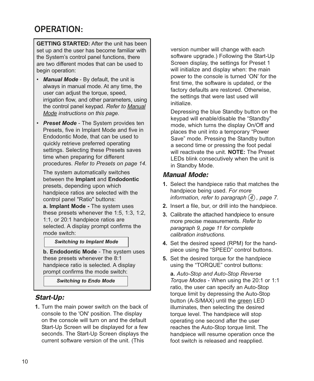## **OPERATION:**

**GETTING STARTED:** After the unit has been set up and the user has become familiar with the System's control panel functions, there are two different modes that can be used to begin operation:

- *Manual Mode* By default, the unit is always in manual mode. At any time, the user can adjust the torque, speed, irrigation flow, and other parameters, using the control panel keypad. *Refer to Manual Mode instructions on this page.*
- *Preset Mode* The System provides ten Presets, five in Implant Mode and five in Endodontic Mode, that can be used to quickly retrieve preferred operating settings. Selecting these Presets saves time when preparing for different procedures. *Refer to Presets on page 14.*

The system automatically switches between the **Implant** and **Endodontic** presets, depending upon which handpiece ratios are selected with the control panel "Ratio" buttons:

**a. Implant Mode -** The system uses these presets whenever the 1:5, 1:3, 1:2, 1:1, or 20:1 handpiece ratios are selected. A display prompt confirms the mode switch:

### *Entering Implant Mode Switching to Implant Mode*

**b. Endodontic Mode** - The system uses these presets whenever the 8:1 handpiece ratio is selected. A display prompt confirms the mode switch:

*Entering Endo Mode Switching to Endo Mode*

### Start-Up:

**1.** Turn the main power switch on the back of console to the 'ON' position. The display on the console will turn on and the default Start-Up Screen will be displayed for a few seconds. The Start-Up Screen displays the current software version of the unit. (This

version number will change with each software upgrade.) Following the Start-Up Screen display, the settings for Preset 1 will initialize and display when: the main power to the console is turned 'ON' for the first time, the software is updated, or the factory defaults are restored. Otherwise, the settings that were last used will initialize.

Depressing the blue Standby button on the keypad will enable/disable the "Standby" mode, which turns the display On/Off and places the unit into a temporary "Power Save" mode. Pressing the Standby button a second time or pressing the foot pedal will reactivate the unit. **NOTE:** The Preset LEDs blink consecutively when the unit is in Standby Mode.

### Manual Mode:

- **1.** Select the handpiece ratio that matches the handpiece being used. *For more information, refer to paragraph*  $(4)$ , page 7.
- **2.** Insert a file, bur, or drill into the handpiece.
- **3.** Calibrate the attached handpiece to ensure more precise measurements. *Refer to paragraph 9, page 11 for complete calibration instructions.*
- **4.** Set the desired speed (RPM) for the handpiece using the "SPEED" control buttons.
- **5.** Set the desired torque for the handpiece using the "TORQUE" control buttons:

**a.** *Auto-Stop and Auto-Stop Reverse Torque Modes* - When using the 20:1 or 1:1 ratio, the user can specify an Auto-Stop torque limit by depressing the Auto-Stop button (A-S/MAX) until the green LED illuminates, then selecting the desired torque level. The handpiece will stop operating one second after the user reaches the Auto-Stop torque limit. The handpiece will resume operation once the foot switch is released and reapplied.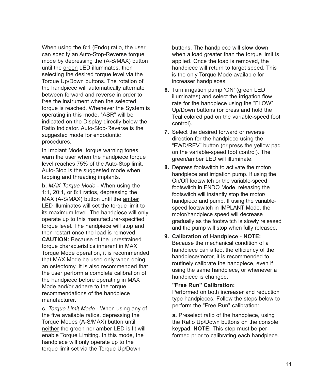When using the 8:1 (Endo) ratio, the user can specify an Auto-Stop-Reverse torque mode by depressing the (A-S/MAX) button until the green LED illuminates, then selecting the desired torque level via the Torque Up/Down buttons. The rotation of the handpiece will automatically alternate between forward and reverse in order to free the instrument when the selected torque is reached. Whenever the System is operating in this mode, "ASR" will be indicated on the Display directly below the Ratio Indicator. Auto-Stop-Reverse is the suggested mode for endodontic procedures.

In Implant Mode, torque warning tones warn the user when the handpiece torque level reaches 75% of the Auto-Stop limit. Auto-Stop is the suggested mode when tapping and threading implants.

**b.** *MAX Torque Mode* - When using the 1:1, 20:1, or 8:1 ratios, depressing the MAX (A-S/MAX) button until the amber LED illuminates will set the torque limit to its maximum level. The handpiece will only operate up to this manufacturer-specified torque level. The handpiece will stop and then restart once the load is removed. **CAUTION:** Because of the unrestrained torque characteristics inherent in MAX Torque Mode operation, it is recommended that MAX Mode be used only when doing an osteotomy. It is also recommended that the user perform a complete calibration of the handpiece before operating in MAX Mode and/or adhere to the torque recommendations of the handpiece manufacturer.

**c.** *Torque Limit Mode* - When using any of the five available ratios, depressing the Torque Modes (A-S/MAX) button until neither the green nor amber LED is lit will enable Torque Limiting. In this mode, the handpiece will only operate up to the torque limit set via the Torque Up/Down

buttons. The handpiece will slow down when a load greater than the torque limit is applied. Once the load is removed, the handpiece will return to target speed. This is the only Torque Mode available for increaser handpieces.

- **6.** Turn irrigation pump 'ON' (green LED illuminates) and select the irrigation flow rate for the handpiece using the "FLOW" Up/Down buttons (or press and hold the Teal colored pad on the variable-speed foot control).
- **7.** Select the desired forward or reverse direction for the handpiece using the "FWD/REV" button (or press the yellow pad on the variable-speed foot control). The green/amber LED will illuminate.
- **8.** Depress footswitch to activate the motor/ handpiece and irrigation pump. If using the On/Off footswitch or the variable-speed footswitch in ENDO Mode, releasing the footswitch will instantly stop the motor/ handpiece and pump. If using the variablespeed footswitch in IMPLANT Mode, the motor/handpiece speed will decrease gradually as the footswitch is slowly released and the pump will stop when fully released.
- **9. Calibration of Handpiece NOTE:** Because the mechanical condition of a handpiece can affect the efficiency of the handpiece/motor, it is recommended to routinely calibrate the handpiece, even if using the same handpiece, or whenever a handpiece is changed.

#### **"Free Run" Calibration:**

Performed on both increaser and reduction type handpieces. Follow the steps below to perform the "Free Run" calibration:

**a.** Preselect ratio of the handpiece, using the Ratio Up/Down buttons on the console keypad. **NOTE:** This step must be performed prior to calibrating each handpiece.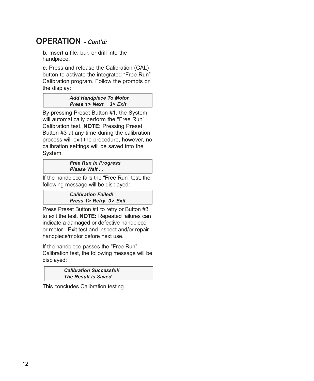## **OPERATION - Cont'd:**

**b.** Insert a file, bur, or drill into the handpiece.

**c.** Press and release the Calibration (CAL) button to activate the integrated "Free Run" Calibration program. Follow the prompts on the display:

#### *Add Handpiece To Motor Press 1> Next 3> Exit*

By pressing Preset Button #1, the System will automatically perform the "Free Run" Calibration test. **NOTE:** Pressing Preset Button #3 at any time during the calibration process will exit the procedure, however, no calibration settings will be saved into the System.

#### *Free Run In Progress Please Wait ...*

If the handpiece fails the "Free Run" test, the following message will be displayed:

> *Calibration Failed! Press 1> Retry 3> Exit*

Press Preset Button #1 to retry or Button #3 to exit the test. **NOTE:** Repeated failures can indicate a damaged or defective handpiece or motor - Exit test and inspect and/or repair handpiece/motor before next use.

If the handpiece passes the "Free Run" Calibration test, the following message will be displayed:

> *Calibration Successful! The Result is Saved*

This concludes Calibration testing.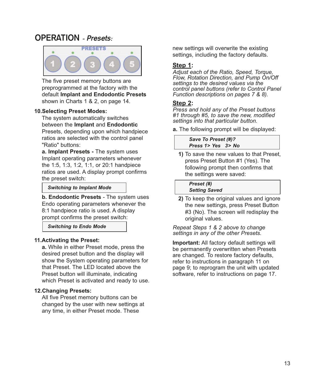## **OPERATION - Presets:**



The five preset memory buttons are preprogrammed at the factory with the default **Implant and Endodontic Presets** shown in Charts 1 & 2, on page 14.

#### **10.Selecting Preset Modes:**

The system automatically switches between the **Implant** and **Endodontic** Presets, depending upon which handpiece ratios are selected with the control panel "Ratio" buttons:

**a. Implant Presets -** The system uses Implant operating parameters whenever the 1:5, 1:3, 1:2, 1:1, or 20:1 handpiece ratios are used. A display prompt confirms the preset switch:

#### *Switching to Implant Mode*

**b. Endodontic Presets** - The system uses Endo operating parameters whenever the 8:1 handpiece ratio is used. A display prompt confirms the preset switch:

*Switching to Endo Mode*

#### **11.Activating the Preset:**

**a.** While in either Preset mode, press the desired preset button and the display will show the System operating parameters for that Preset. The LED located above the Preset button will illuminate, indicating which Preset is activated and ready to use.

#### **12.Changing Presets:**

All five Preset memory buttons can be changed by the user with new settings at any time, in either Preset mode. These

new settings will overwrite the existing settings, including the factory defaults.

#### **Step 1:**

*Adjust each of the Ratio, Speed, Torque, Flow, Rotation Direction, and Pump On/Off settings to the desired values via the control panel buttons (refer to Control Panel Function descriptions on pages 7 & 8).*

#### **Step 2:**

*Press and hold any of the Preset buttons #1 through #5, to save the new, modified settings into that particular button.* 

**a.** The following prompt will be displayed:

*Save To Preset (#)? Press 1> Yes 3> No*

**1)** To save the new values to that Preset, press Preset Button #1 (Yes). The following prompt then confirms that the settings were saved:

*Preset (#) Setting Saved*

**2)** To keep the original values and ignore the new settings, press Preset Button #3 (No). The screen will redisplay the original values.

*Repeat Steps 1 & 2 above to change settings in any of the other Presets.* 

**Important:** All factory default settings will be permanently overwritten when Presets are changed. To restore factory defaults, refer to instructions in paragraph 11 on page 9; to reprogram the unit with updated software, refer to instructions on page 17.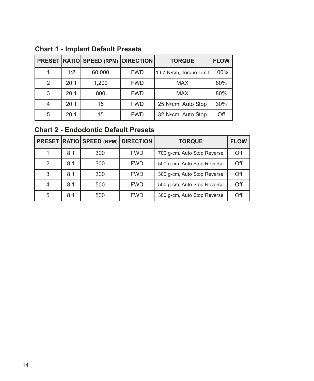|               |      | <b>PRESET RATIO SPEED (RPM) DIRECTION</b> |            | <b>TORQUE</b>           | <b>FLOW</b> |
|---------------|------|-------------------------------------------|------------|-------------------------|-------------|
|               | 1:2  | 60,000                                    | <b>FWD</b> | 1.67 N•cm, Torque Limit | 100%        |
| $\mathcal{P}$ | 20:1 | 1,200                                     | <b>FWD</b> | <b>MAX</b>              | 80%         |
| 3             | 20:1 | 800                                       | <b>FWD</b> | <b>MAX</b>              | 80%         |
|               | 20:1 | 15                                        | <b>FWD</b> | 25 N•cm, Auto Stop      | 30%         |
| 5             | 20:1 | 15                                        | <b>FWD</b> | 32 N•cm, Auto Stop      | Off         |

**Chart 1 - Implant Default Presets**

## **Chart 2 - Endodontic Default Presets**

|               |     | <b>PRESET RATIO SPEED (RPM) DIRECTION</b> |            | <b>TORQUE</b>               | <b>FLOW</b> |
|---------------|-----|-------------------------------------------|------------|-----------------------------|-------------|
|               | 8:1 | 300                                       | <b>FWD</b> | 700 g-cm, Auto Stop Reverse | Off         |
| $\mathcal{P}$ | 8:1 | 300                                       | <b>FWD</b> | 500 g-cm, Auto Stop Reverse | Off         |
| 3             | 8:1 | 300                                       | <b>FWD</b> | 300 g-cm, Auto Stop Reverse | Off         |
| 4             | 8:1 | 500                                       | <b>FWD</b> | 500 g-cm, Auto Stop Reverse | Off         |
| 5             | 8:1 | 500                                       | <b>FWD</b> | 300 g-cm, Auto Stop Reverse | Off         |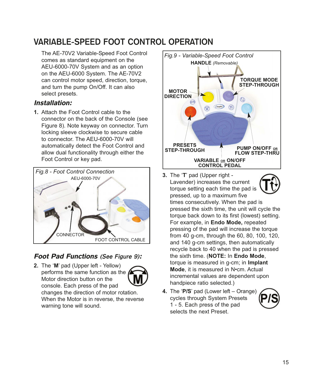## **VARIABLE-SPEED FOOT CONTROL OPERATION**

The AE-70V2 Variable-Speed Foot Control comes as standard equipment on the AEU-6000-70V System and as an option on the AEU-6000 System. The AE-70V2 can control motor speed, direction, torque, and turn the pump On/Off. It can also select presets.

### Installation:

**1.** Attach the Foot Control cable to the connector on the back of the Console (see Figure 8). Note keyway on connector. Turn locking sleeve clockwise to secure cable to connector. The AEU-6000-70V will automatically detect the Foot Control and allow dual functionality through either the Foot Control or key pad.



### Foot Pad Functions **(See Figure 9)**:

**2.** The '**M**' pad (Upper left - Yellow) performs the same function as the  $\ell$ Motor direction button on the console. Each press of the pad



changes the direction of motor rotation. When the Motor is in reverse, the reverse warning tone will sound.



- **3.** The '**T**' pad (Upper right Lavender) increases the current torque setting each time the pad is pressed, up to a maximum five times consecutively. When the pad is pressed the sixth time, the unit will cycle the torque back down to its first (lowest) setting. For example, in **Endo Mode,** repeated pressing of the pad will increase the torque from 40 g-cm, through the 60, 80, 100, 120, and 140 g-cm settings, then automatically recycle back to 40 when the pad is pressed the sixth time. (**NOTE:** In **Endo Mode**, torque is measured in g-cm; in **Implant Mode**, it is measured in N•cm. Actual incremental values are dependent upon handpiece ratio selected.)
- **4.** The '**P/S**' pad (Lower left Orange) cycles through System Presets 1 - 5. Each press of the pad selects the next Preset.

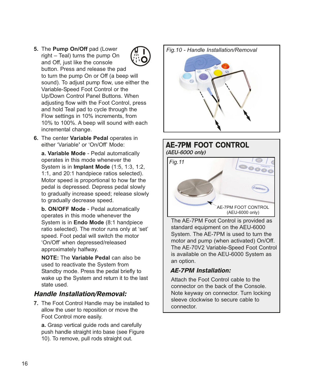- **5.** The **Pump On/Off** pad (Lower right – Teal) turns the pump On and Off, just like the console button. Press and release the pad to turn the pump On or Off (a beep will sound). To adjust pump flow, use either the Variable-Speed Foot Control or the Up/Down Control Panel Buttons. When adjusting flow with the Foot Control, press and hold Teal pad to cycle through the Flow settings in 10% increments, from 10% to 100%. A beep will sound with each incremental change.
- **6.** The center **Variable Pedal** operates in either 'Variable**'** or 'On/Off' Mode:

**a. Variable Mode** - Pedal automatically operates in this mode whenever the System is in **Implant Mode** (1:5, 1:3, 1:2, 1:1, and 20:1 handpiece ratios selected). Motor speed is proportional to how far the pedal is depressed. Depress pedal slowly to gradually increase speed; release slowly to gradually decrease speed.

**b. ON/OFF Mode** - Pedal automatically operates in this mode whenever the System is in **Endo Mode** (8:1 handpiece ratio selected). The motor runs only at 'set' speed. Foot pedal will switch the motor 'On/Off' when depressed/released approximately halfway.

**NOTE:** The **Variable Pedal** can also be used to reactivate the System from Standby mode. Press the pedal briefly to wake up the System and return it to the last state used.

### Handle Installation/Removal:

**7.** The Foot Control Handle may be installed to allow the user to reposition or move the Foot Control more easily.

**a.** Grasp vertical guide rods and carefully push handle straight into base (see Figure 10). To remove, pull rods straight out.

*Fig.10 - Handle Installation/Removal*

### **AE-7PM FOOT CONTROL (AEU-6000 only)**



The AE-7PM Foot Control is provided as standard equipment on the AEU-6000 System. The AE-7PM is used to turn the motor and pump (when activated) On/Off. The AE-70V2 Variable-Speed Foot Control is available on the AEU-6000 System as an option.

### AE-7PM Installation:

Attach the Foot Control cable to the connector on the back of the Console. Note keyway on connector. Turn locking sleeve clockwise to secure cable to connector.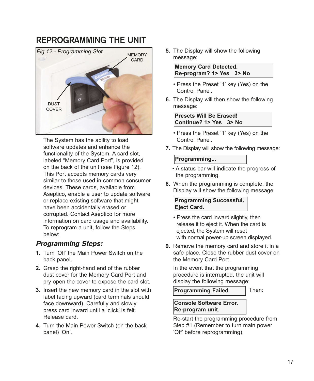## **REPROGRAMMING THE UNIT**



The System has the ability to load software updates and enhance the functionality of the System. A card slot, labeled "Memory Card Port", is provided on the back of the unit (see Figure 12). This Port accepts memory cards very similar to those used in common consumer devices. These cards, available from Aseptico, enable a user to update software or replace existing software that might have been accidentally erased or corrupted. Contact Aseptico for more information on card usage and availability. To reprogram a unit, follow the Steps below:

### Programming Steps:

- **1.** Turn 'Off' the Main Power Switch on the back panel.
- **2.** Grasp the right-hand end of the rubber dust cover for the Memory Card Port and pry open the cover to expose the card slot.
- **3.** Insert the new memory card in the slot with label facing upward (card terminals should face downward). Carefully and slowly press card inward until a 'click' is felt. Release card.
- **4.** Turn the Main Power Switch (on the back panel) 'On'.

**5.** The Display will show the following message:

**Memory Card Detected. Re-program? 1> Yes 3> No**

- Press the Preset '1' key (Yes) on the Control Panel.
- **6.** The Display will then show the following message:

**Presets Will Be Erased! Continue? 1> Yes 3> No**

- Press the Preset '1' key (Yes) on the Control Panel.
- **7.** The Display will show the following message:

#### **Programming...**

- A status bar will indicate the progress of the programming.
- **8.** When the programming is complete, the Display will show the following message:

**Programming Successful. Eject Card.**

- Press the card inward slightly, then release it to eject it. When the card is ejected, the System will reset with normal power-up screen displayed.
- **9.** Remove the memory card and store it in a safe place. Close the rubber dust cover on the Memory Card Port.

In the event that the programming procedure is interrupted, the unit will display the following message:

**Programming Failed**

Then:

#### **Console Software Error. Re-program unit.**

Re-start the programming procedure from Step #1 (Remember to turn main power 'Off' before reprogramming).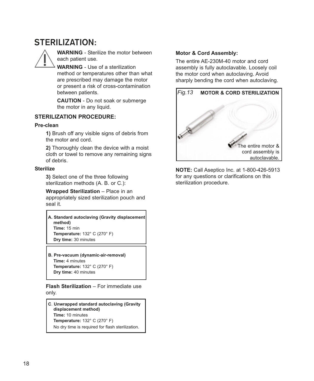## **STERILIZATION:**



**WARNING** - Sterilize the motor between each patient use.

**WARNING** - Use of a sterilization method or temperatures other than what are prescribed may damage the motor or present a risk of cross-contamination between patients.

**CAUTION** - Do not soak or submerge the motor in any liquid.

#### **STERILIZATION PROCEDURE:**

#### **Pre-clean**

**1)** Brush off any visible signs of debris from the motor and cord.

**2)** Thoroughly clean the device with a moist cloth or towel to remove any remaining signs of debris.

#### **Sterilize**

**3)** Select one of the three following sterilization methods (A. B. or C.):

**Wrapped Sterilization** – Place in an appropriately sized sterilization pouch and seal it.

**A. Standard autoclaving (Gravity displacement method) Time:** 15 min **Temperature:** 132° C (270° F) **Dry time:** 30 minutes

**B. Pre-vacuum (dynamic-air-removal) Time:** 4 minutes **Temperature:** 132° C (270° F) **Dry time:** 40 minutes

**Flash Sterilization** – For immediate use only.

**C**. **Unwrapped standard autoclaving (Gravity displacement method) Time:** 10 minutes **Temperature:** 132° C (270° F) No dry time is required for flash sterilization.

#### **Motor & Cord Assembly:**

The entire AE-230M-40 motor and cord assembly is fully autoclavable. Loosely coil the motor cord when autoclaving. Avoid sharply bending the cord when autoclaving.



**NOTE:** Call Aseptico Inc. at 1-800-426-5913 for any questions or clarifications on this sterilization procedure.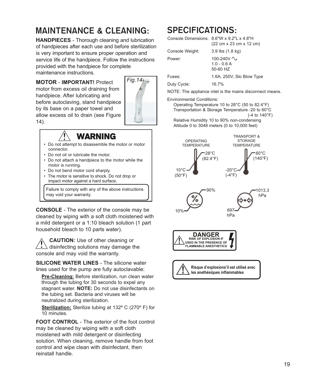## **MAINTENANCE & CLEANING:**

**HANDPIECES** - Thorough cleaning and lubrication of handpieces after each use and before sterilization is very important to ensure proper operation and service life of the handpiece. Follow the instructions provided with the handpiece for complete maintenance instructions.

## **MOTOR** - **IMPORTANT!** Protect

motor from excess oil draining from handpiece. After lubricating and before autoclaving, stand handpiece by its base on a paper towel and allow excess oil to drain (see Figure 14).



## WARNING

- Do not attempt to disassemble the motor or motor connector.
- Do not oil or lubricate the motor.
- Do not attach a handpiece to the motor while the motor is running.
- Do not bend motor cord sharply.
- The motor is sensitive to shock. Do not drop or impact motor against a hard surface.

Failure to comply with any of the above instructions may void your warranty.

**CONSOLE** - The exterior of the console may be cleaned by wiping with a soft cloth moistened with a mild detergent or a 1:10 bleach solution (1 part household bleach to 10 parts water).

**CAUTION:** Use of other cleaning or disinfecting solutions may damage the console and may void the warranty.

**SILICONE WATER LINES** - The silicone water lines used for the pump are fully autoclavable:

**Pre-Cleaning:** Before sterilization, run clean water through the tubing for 30 seconds to expel any stagnant water. **NOTE:** Do not use disinfectants on the tubing set. Bacteria and viruses will be neutralized during sterilization.

**Sterilization:** Sterilize tubing at 132º C (270º F) for 10 minutes.

**FOOT CONTROL** - The exterior of the foot control may be cleaned by wiping with a soft cloth moistened with mild detergent or disinfecting solution. When cleaning, remove handle from foot control and wipe clean with disinfectant, then reinstall handle.

## **SPECIFICATIONS:**

Console Dimensions: 8.6"W x 9.2"L x 4.8"H (22 cm x 23 cm x 12 cm) Console Weight: 3.9 lbs (1.8 kg) Power: 100-240V  $\sim$ 1.0 - 0.6 A 50-60 HZ Fuses: 1.6A, 250V, Slo Blow Type Duty Cycle: 16.7%

NOTE: The appliance inlet is the mains disconnect means.

Environmental Conditions:

Operating Temperature 10 to 28°C (50 to 82.4°F) Transportation & Storage Temperature -20 to 60°C (-4 to 140°F) Relative Humidity 10 to 90% non-condensing

Altitude 0 to 3048 meters (0 to 10,000 feet)

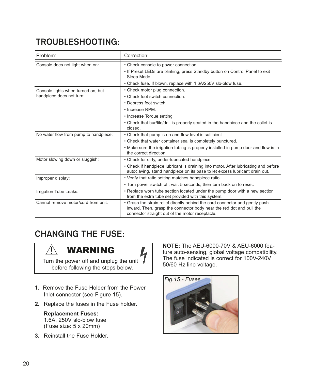## **TROUBLESHOOTING:**

| Problem:                                                       | Correction:                                                                                                                                                                                                                                |
|----------------------------------------------------------------|--------------------------------------------------------------------------------------------------------------------------------------------------------------------------------------------------------------------------------------------|
| Console does not light when on:                                | • Check console to power connection.<br>. If Preset LEDs are blinking, press Standby button on Control Panel to exit<br>Sleep Mode.<br>• Check fuse. If blown, replace with 1.6A/250V slo-blow fuse.                                       |
| Console lights when turned on, but<br>handpiece does not turn: | • Check motor plug connection.<br>• Check foot switch connection.<br>• Depress foot switch.<br>• Increase RPM<br>• Increase Torque setting<br>• Check that bur/file/drill is properly seated in the handpiece and the collet is<br>closed. |
| No water flow from pump to handpiece:                          | • Check that pump is on and flow level is sufficient.<br>• Check that water container seal is completely punctured.<br>• Make sure the irrigation tubing is properly installed in pump door and flow is in<br>the correct direction.       |
| Motor slowing down or sluggish:                                | • Check for dirty, under-lubricated handpiece.<br>• Check if handpiece lubricant is draining into motor. After lubricating and before<br>autoclaving, stand handpiece on its base to let excess lubricant drain out.                       |
| Improper display:                                              | • Verify that ratio setting matches handpiece ratio.<br>. Turn power switch off, wait 5 seconds, then turn back on to reset.                                                                                                               |
| Irrigation Tube Leaks:                                         | • Replace worn tube section located under the pump door with a new section<br>from the extra tube set provided with this system.                                                                                                           |
| Cannot remove motor/cord from unit:                            | • Grasp the strain relief directly behind the cord connector and gently push<br>inward. Then, grasp the connector body near the red dot and pull the<br>connector straight out of the motor receptacle.                                    |

## **CHANGING THE FUSE:**



Turn the power off and unplug the unit before following the steps below.

- **1.** Remove the Fuse Holder from the Power Inlet connector (see Figure 15).
- **2.** Replace the fuses in the Fuse holder.

#### **Replacement Fuses:** 1.6A, 250V slo-blow fuse (Fuse size: 5 x 20mm)

**3.** Reinstall the Fuse Holder.

**NOTE:** The AEU-6000-70V & AEU-6000 feature auto-sensing, global voltage compatibility. The fuse indicated is correct for 100V-240V 50/60 Hz line voltage.

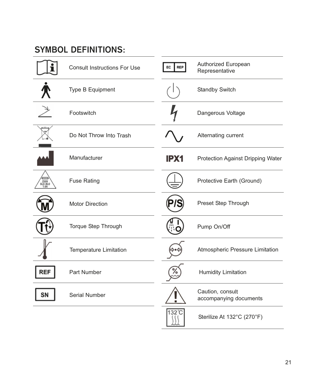## **SYMBOL DEFINITIONS:**

|                         | <b>Consult Instructions For Use</b> | EC<br><b>REP</b> | Authorized European<br>Representative      |
|-------------------------|-------------------------------------|------------------|--------------------------------------------|
|                         | Type B Equipment                    |                  | Standby Switch                             |
|                         | Footswitch                          |                  | Dangerous Voltage                          |
|                         | Do Not Throw Into Trash             |                  | Alternating current                        |
|                         | Manufacturer                        | IPX1             | Protection Against Dripping Water          |
| 250V<br>SLO-BLO<br>1.6A | <b>Fuse Rating</b>                  |                  | Protective Earth (Ground)                  |
|                         | <b>Motor Direction</b>              |                  | Preset Step Through                        |
|                         | Torque Step Through                 |                  | Pump On/Off                                |
|                         | Temperature Limitation              |                  | Atmospheric Pressure Limitation            |
| <b>REF</b>              | Part Number                         |                  | <b>Humidity Limitation</b>                 |
| SΝ                      | Serial Number                       |                  | Caution, consult<br>accompanying documents |
|                         |                                     | $132^{\circ}$ C  | Sterilize At 132°C (270°F)                 |